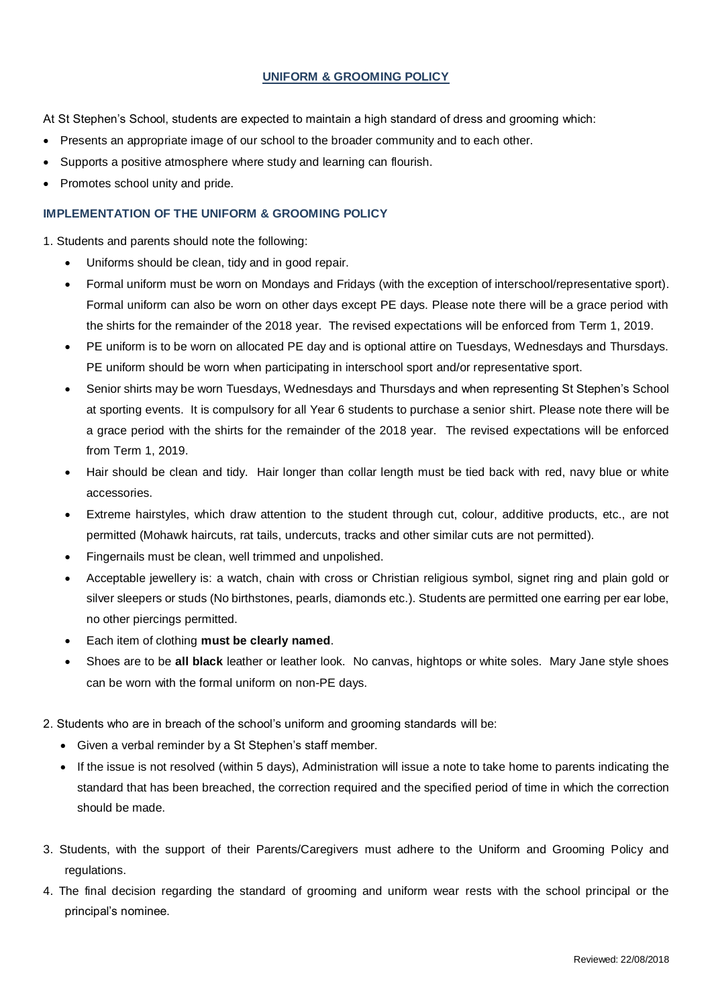## **UNIFORM & GROOMING POLICY**

At St Stephen's School, students are expected to maintain a high standard of dress and grooming which:

- Presents an appropriate image of our school to the broader community and to each other.
- Supports a positive atmosphere where study and learning can flourish.
- Promotes school unity and pride.

### **IMPLEMENTATION OF THE UNIFORM & GROOMING POLICY**

1. Students and parents should note the following:

- Uniforms should be clean, tidy and in good repair.
- Formal uniform must be worn on Mondays and Fridays (with the exception of interschool/representative sport). Formal uniform can also be worn on other days except PE days. Please note there will be a grace period with the shirts for the remainder of the 2018 year. The revised expectations will be enforced from Term 1, 2019.
- PE uniform is to be worn on allocated PE day and is optional attire on Tuesdays, Wednesdays and Thursdays. PE uniform should be worn when participating in interschool sport and/or representative sport.
- Senior shirts may be worn Tuesdays, Wednesdays and Thursdays and when representing St Stephen's School at sporting events. It is compulsory for all Year 6 students to purchase a senior shirt. Please note there will be a grace period with the shirts for the remainder of the 2018 year. The revised expectations will be enforced from Term 1, 2019.
- Hair should be clean and tidy. Hair longer than collar length must be tied back with red, navy blue or white accessories.
- Extreme hairstyles, which draw attention to the student through cut, colour, additive products, etc., are not permitted (Mohawk haircuts, rat tails, undercuts, tracks and other similar cuts are not permitted).
- Fingernails must be clean, well trimmed and unpolished.
- Acceptable jewellery is: a watch, chain with cross or Christian religious symbol, signet ring and plain gold or silver sleepers or studs (No birthstones, pearls, diamonds etc.). Students are permitted one earring per ear lobe, no other piercings permitted.
- Each item of clothing **must be clearly named**.
- Shoes are to be **all black** leather or leather look. No canvas, hightops or white soles. Mary Jane style shoes can be worn with the formal uniform on non-PE days.
- 2. Students who are in breach of the school's uniform and grooming standards will be:
	- Given a verbal reminder by a St Stephen's staff member.
	- If the issue is not resolved (within 5 days), Administration will issue a note to take home to parents indicating the standard that has been breached, the correction required and the specified period of time in which the correction should be made.
- 3. Students, with the support of their Parents/Caregivers must adhere to the Uniform and Grooming Policy and regulations.
- 4. The final decision regarding the standard of grooming and uniform wear rests with the school principal or the principal's nominee.